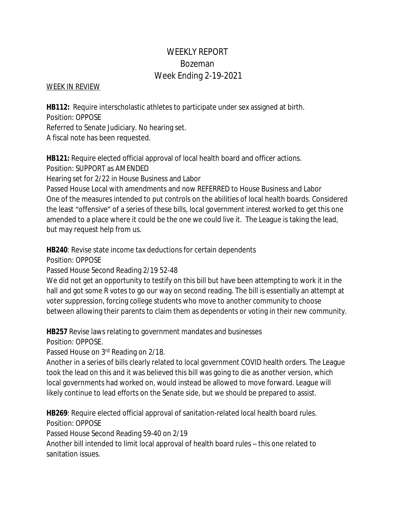# WEEKLY REPORT Bozeman Week Ending 2-19-2021

### WEEK IN REVIEW

**HB112:** Require interscholastic athletes to participate under sex assigned at birth. Position: OPPOSE

Referred to Senate Judiciary. No hearing set.

A fiscal note has been requested.

**HB121:** Require elected official approval of local health board and officer actions. Position: SUPPORT as AMENDED

Hearing set for 2/22 in House Business and Labor

Passed House Local with amendments and now REFERRED to House Business and Labor One of the measures intended to put controls on the abilities of local health boards. Considered the least "offensive" of a series of these bills, local government interest worked to get this one amended to a place where it could be the one we could live it. The League is taking the lead, but may request help from us.

**HB240**: Revise state income tax deductions for certain dependents

Position: OPPOSE

Passed House Second Reading 2/19 52-48

We did not get an opportunity to testify on this bill but have been attempting to work it in the hall and got some R votes to go our way on second reading. The bill is essentially an attempt at voter suppression, forcing college students who move to another community to choose between allowing their parents to claim them as dependents or voting in their new community.

**HB257** Revise laws relating to government mandates and businesses

Position: OPPOSE.

Passed House on 3rd Reading on 2/18.

Another in a series of bills clearly related to local government COVID health orders. The League took the lead on this and it was believed this bill was going to die as another version, which local governments had worked on, would instead be allowed to move forward. League will likely continue to lead efforts on the Senate side, but we should be prepared to assist.

**HB269**: Require elected official approval of sanitation-related local health board rules. Position: OPPOSE

Passed House Second Reading 59-40 on 2/19

Another bill intended to limit local approval of health board rules – this one related to sanitation issues.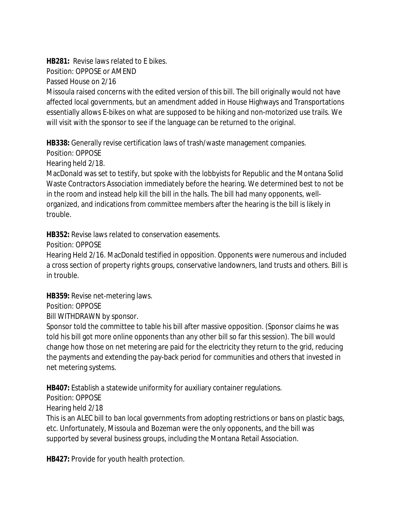**HB281:** Revise laws related to E bikes. Position: OPPOSE or AMEND Passed House on 2/16

Missoula raised concerns with the edited version of this bill. The bill originally would not have affected local governments, but an amendment added in House Highways and Transportations essentially allows E-bikes on what are supposed to be hiking and non-motorized use trails. We will visit with the sponsor to see if the language can be returned to the original.

**HB338:** Generally revise certification laws of trash/waste management companies.

Position: OPPOSE

Hearing held 2/18.

MacDonald was set to testify, but spoke with the lobbyists for Republic and the Montana Solid Waste Contractors Association immediately before the hearing. We determined best to not be in the room and instead help kill the bill in the halls. The bill had many opponents, wellorganized, and indications from committee members after the hearing is the bill is likely in trouble.

**HB352:** Revise laws related to conservation easements.

Position: OPPOSE

Hearing Held 2/16. MacDonald testified in opposition. Opponents were numerous and included a cross section of property rights groups, conservative landowners, land trusts and others. Bill is in trouble.

**HB359:** Revise net-metering laws.

Position: OPPOSE

Bill WITHDRAWN by sponsor.

Sponsor told the committee to table his bill after massive opposition. (Sponsor claims he was told his bill got more online opponents than any other bill so far this session). The bill would change how those on net metering are paid for the electricity they return to the grid, reducing the payments and extending the pay-back period for communities and others that invested in net metering systems.

**HB407:** Establish a statewide uniformity for auxiliary container regulations.

Position: OPPOSE

Hearing held 2/18

This is an ALEC bill to ban local governments from adopting restrictions or bans on plastic bags, etc. Unfortunately, Missoula and Bozeman were the only opponents, and the bill was supported by several business groups, including the Montana Retail Association.

**HB427:** Provide for youth health protection.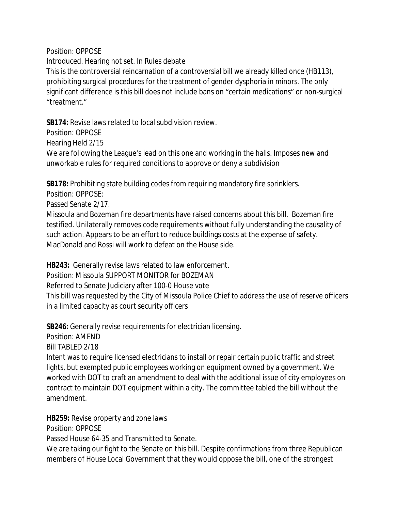Position: OPPOSE

Introduced. Hearing not set. In Rules debate This is the controversial reincarnation of a controversial bill we already killed once (HB113), prohibiting surgical procedures for the treatment of gender dysphoria in minors. The only significant difference is this bill does not include bans on "certain medications" or non-surgical "treatment."

**SB174:** Revise laws related to local subdivision review.

Position: OPPOSE Hearing Held 2/15 We are following the League's lead on this one and working in the halls. Imposes new and unworkable rules for required conditions to approve or deny a subdivision

**SB178:** Prohibiting state building codes from requiring mandatory fire sprinklers.

Position: OPPOSE:

Passed Senate 2/17.

Missoula and Bozeman fire departments have raised concerns about this bill. Bozeman fire testified. Unilaterally removes code requirements without fully understanding the causality of such action. Appears to be an effort to reduce buildings costs at the expense of safety. MacDonald and Rossi will work to defeat on the House side.

**HB243:** Generally revise laws related to law enforcement.

Position: Missoula SUPPORT MONITOR for BOZEMAN

Referred to Senate Judiciary after 100-0 House vote

This bill was requested by the City of Missoula Police Chief to address the use of reserve officers in a limited capacity as court security officers

**SB246:** Generally revise requirements for electrician licensing.

Position: AMEND

Bill TABLED 2/18

Intent was to require licensed electricians to install or repair certain public traffic and street lights, but exempted public employees working on equipment owned by a government. We worked with DOT to craft an amendment to deal with the additional issue of city employees on contract to maintain DOT equipment within a city. The committee tabled the bill without the amendment.

**HB259:** Revise property and zone laws

Position: OPPOSE

Passed House 64-35 and Transmitted to Senate.

We are taking our fight to the Senate on this bill. Despite confirmations from three Republican members of House Local Government that they would oppose the bill, one of the strongest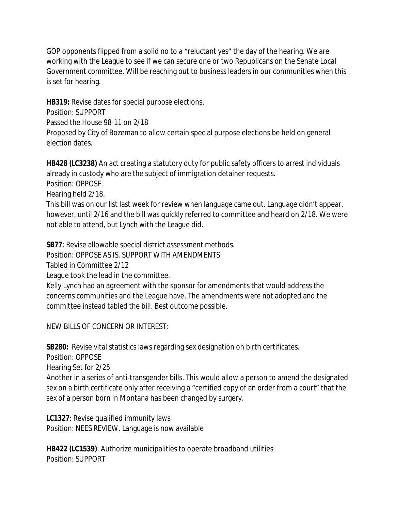GOP opponents flipped from a solid no to a "reluctant yes" the day of the hearing. We are working with the League to see if we can secure one or two Republicans on the Senate Local Government committee. Will be reaching out to business leaders in our communities when this is set for hearing.

**HB319:** Revise dates for special purpose elections. Position: SUPPORT Passed the House 98-11 on 2/18 Proposed by City of Bozeman to allow certain special purpose elections be held on general election dates.

**HB428 (LC3238)** An act creating a statutory duty for public safety officers to arrest individuals already in custody who are the subject of immigration detainer requests. Position: OPPOSE

Hearing held 2/18.

This bill was on our list last week for review when language came out. Language didn't appear, however, until 2/16 and the bill was quickly referred to committee and heard on 2/18. We were not able to attend, but Lynch with the League did.

**SB77**: Revise allowable special district assessment methods.

Position: OPPOSE AS IS. SUPPORT WITH AMENDMENTS

Tabled in Committee 2/12

League took the lead in the committee.

Kelly Lynch had an agreement with the sponsor for amendments that would address the concerns communities and the League have. The amendments were not adopted and the committee instead tabled the bill. Best outcome possible.

## NEW BILLS OF CONCERN OR INTEREST:

**SB280:** Revise vital statistics laws regarding sex designation on birth certificates.

Position: OPPOSE

Hearing Set for 2/25

Another in a series of anti-transgender bills. This would allow a person to amend the designated sex on a birth certificate only after receiving a "certified copy of an order from a court" that the sex of a person born in Montana has been changed by surgery.

**LC1327**: Revise qualified immunity laws Position: NEES REVIEW. Language is now available

**HB422 (LC1539)**: Authorize municipalities to operate broadband utilities Position: SUPPORT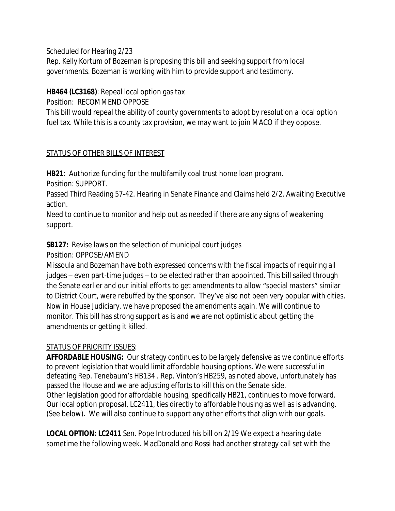Scheduled for Hearing 2/23

Rep. Kelly Kortum of Bozeman is proposing this bill and seeking support from local governments. Bozeman is working with him to provide support and testimony.

## **HB464 (LC3168)**: Repeal local option gas tax

Position: RECOMMEND OPPOSE

This bill would repeal the ability of county governments to adopt by resolution a local option fuel tax. While this is a county tax provision, we may want to join MACO if they oppose.

## STATUS OF OTHER BILLS OF INTEREST

**HB21**: Authorize funding for the multifamily coal trust home loan program.

Position: SUPPORT.

Passed Third Reading 57-42. Hearing in Senate Finance and Claims held 2/2. Awaiting Executive action.

Need to continue to monitor and help out as needed if there are any signs of weakening support.

**SB127:** Revise laws on the selection of municipal court judges

Position: OPPOSE/AMEND

Missoula and Bozeman have both expressed concerns with the fiscal impacts of requiring all judges – even part-time judges – to be elected rather than appointed. This bill sailed through the Senate earlier and our initial efforts to get amendments to allow "special masters" similar to District Court, were rebuffed by the sponsor. They've also not been very popular with cities. Now in House Judiciary, we have proposed the amendments again. We will continue to monitor. This bill has strong support as is and we are not optimistic about getting the amendments or getting it killed.

## STATUS OF PRIORITY ISSUES:

**AFFORDABLE HOUSING:** Our strategy continues to be largely defensive as we continue efforts to prevent legislation that would limit affordable housing options. We were successful in defeating Rep. Tenebaum's HB134 . Rep. Vinton's HB259, as noted above, unfortunately has passed the House and we are adjusting efforts to kill this on the Senate side. Other legislation good for affordable housing, specifically HB21, continues to move forward. Our local option proposal, LC2411, ties directly to affordable housing as well as is advancing. (See below). We will also continue to support any other efforts that align with our goals.

**LOCAL OPTION: LC2411** Sen. Pope Introduced his bill on 2/19 We expect a hearing date sometime the following week. MacDonald and Rossi had another strategy call set with the